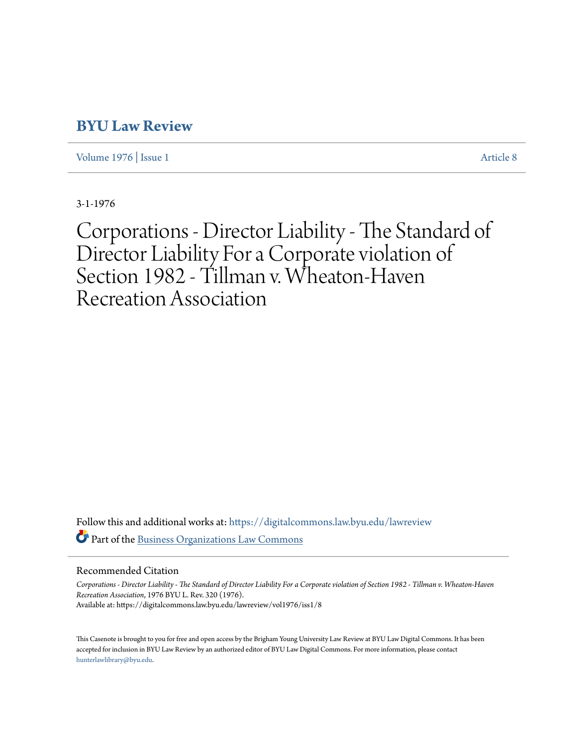# **[BYU Law Review](https://digitalcommons.law.byu.edu/lawreview?utm_source=digitalcommons.law.byu.edu%2Flawreview%2Fvol1976%2Fiss1%2F8&utm_medium=PDF&utm_campaign=PDFCoverPages)**

[Volume 1976](https://digitalcommons.law.byu.edu/lawreview/vol1976?utm_source=digitalcommons.law.byu.edu%2Flawreview%2Fvol1976%2Fiss1%2F8&utm_medium=PDF&utm_campaign=PDFCoverPages) | [Issue 1](https://digitalcommons.law.byu.edu/lawreview/vol1976/iss1?utm_source=digitalcommons.law.byu.edu%2Flawreview%2Fvol1976%2Fiss1%2F8&utm_medium=PDF&utm_campaign=PDFCoverPages) [Article 8](https://digitalcommons.law.byu.edu/lawreview/vol1976/iss1/8?utm_source=digitalcommons.law.byu.edu%2Flawreview%2Fvol1976%2Fiss1%2F8&utm_medium=PDF&utm_campaign=PDFCoverPages)

3-1-1976

Corporations - Director Liability - The Standard of Director Liability For a Corporate violation of Section 1982 - Tillman v. Wheaton-Haven Recreation Association

Follow this and additional works at: [https://digitalcommons.law.byu.edu/lawreview](https://digitalcommons.law.byu.edu/lawreview?utm_source=digitalcommons.law.byu.edu%2Flawreview%2Fvol1976%2Fiss1%2F8&utm_medium=PDF&utm_campaign=PDFCoverPages) Part of the [Business Organizations Law Commons](http://network.bepress.com/hgg/discipline/900?utm_source=digitalcommons.law.byu.edu%2Flawreview%2Fvol1976%2Fiss1%2F8&utm_medium=PDF&utm_campaign=PDFCoverPages)

# Recommended Citation

*Corporations - Director Liability - The Standard of Director Liability For a Corporate violation of Section 1982 - Tillman v. Wheaton-Haven Recreation Association*, 1976 BYU L. Rev. 320 (1976). Available at: https://digitalcommons.law.byu.edu/lawreview/vol1976/iss1/8

This Casenote is brought to you for free and open access by the Brigham Young University Law Review at BYU Law Digital Commons. It has been accepted for inclusion in BYU Law Review by an authorized editor of BYU Law Digital Commons. For more information, please contact [hunterlawlibrary@byu.edu.](mailto:hunterlawlibrary@byu.edu)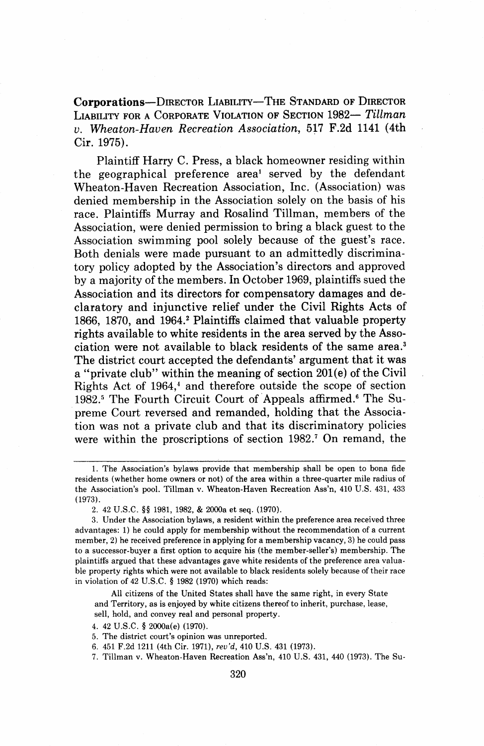Corporations--DIRECTOR LIABILITY-THE STANDARD OF DIRECTOR LIABILITY FOR A CORPORATE VIOLATION OF SECTION 1982- Tillman v. Wheaton-Haven Recreation Association, 517 F.2d 1141 (4th Cir. 1975).

Plaintiff Harry C. Press, a black homeowner residing within the geographical preference areal served by the defendant Wheaton-Haven Recreation Association, Inc. (Association) was denied membership in the Association solely on the basis of his race. Plaintiffs Murray and Rosalind Tillman, members of the Association, were denied permission to bring a black guest to the Association swimming pool solely because of the guest's race. Both denials were made pursuant to an admittedly discriminatory policy adopted by the Association's directors and approved by a majority of the members. In October 1969, plaintiffs sued the Association and its directors for compensatory damages and declaratory and injunctive relief under the Civil Rights Acts of 1866, 1870, and 1964.2 Plaintiffs claimed that valuable property rights available to white residents in the area served by the Association were not available to black residents of the same area.3 The district court accepted the defendants' argument that it was a "private club" within the meaning of section 201(e) of the Civil Rights Act of 1964,' and therefore outside the scope of section 1982.<sup>5</sup> The Fourth Circuit Court of Appeals affirmed.<sup>6</sup> The Supreme Court reversed and remanded, holding that the Association was not a private club and that its discriminatory policies were within the proscriptions of section 1982.<sup>7</sup> On remand, the

All citizens of the United States shall have the same right, in every State and Territory, as is enjoyed by white citizens thereof to inherit, purchase, lease, sell, hold, and convey real and personal property.

<sup>1.</sup> The Association's bylaws provide that membership shall be open to bona fide residents (whether home owners or not) of the area within a three-quarter mile radius of the Association's pool. Tillman v. Wheaton-Haven Recreation Ass'n, 410 U.S. 431, 433 (1973).

<sup>2. 42</sup> U.S.C. §§ 1981, 1982, & 2000a et seq. (1970).

<sup>3.</sup> Under the Association bylaws, a resident within the preference area received three advantages: 1) he could apply for membership without the recommendation of a current member, 2) he received preference in applying for a membership vacancy, 3) he could pass to a successor-buyer a first option to acquire his (the member-seller's) membership. The plaintiffs argued that these advantages gave white residents of the preference area valuable property rights which were not available to black residents solely because of their race in violation of 42 U.S.C. § 1982 (1970) which reads:

<sup>4. 42</sup> U.S.C. § 2000a(e) (1970).

<sup>5.</sup> The district court's opinion was unreported.

<sup>6. 451</sup> F.2d 1211 (4th Cir. 1971), *rev'd*, 410 U.S. 431 (1973).

<sup>7.</sup> Tillman v. Wheaton-Haven Recreation Ass'n, 410 U.S. 431, 440 (1973). The Su-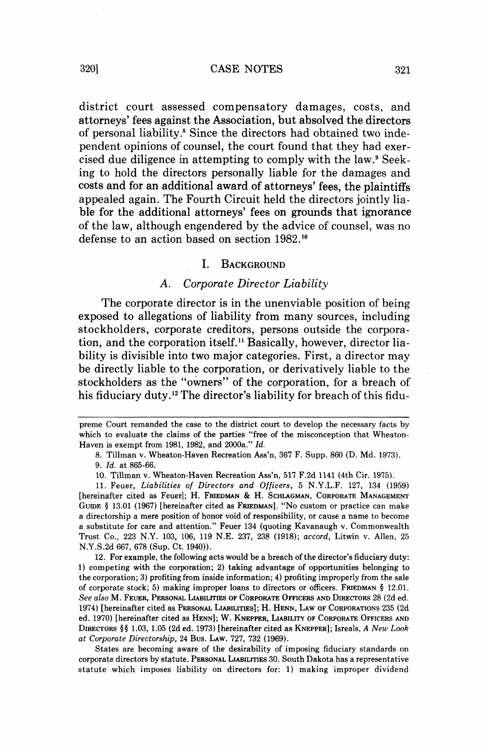district court assessed compensatory damages, costs, and attorneys' fees against the Association, but absolved the directors of personal liability.<sup>8</sup> Since the directors had obtained two independent opinions of counsel, the court found that they had exercised due diligence in attempting to comply with the law.<sup>9</sup> Seeking to hold the directors personally liable for the damages and costs and for an additional award of attorneys' fees, the plaintiffs appealed again. The Fourth Circuit held the directors jointly liable for the additional attorneys' fees on grounds that ignorance of the law, although engendered by the advice of counsel, was no defense to an action based on section 1982.'"

#### $\mathbf{L}$ BACKGROUND

#### *A. Corporate Director Liability*

The corporate director is in the unenviable position of being exposed to allegations of liability from many sources, including stockholders, corporate creditors, persons outside the corporation, and the corporation itself." Basically, however, director liability is divisible into two major categories. First, a director may be directly liable to the corporation, or derivatively liable to the stockholders as the "owners" of the corporation, for a breach of his fiduciary duty.12 The director's liability for breach of this fidu-

8. Tillman v. Wheaton-Haven Recreation Ass'n, 367 F. Supp. 860 (D. Md. 1973). 9. Id. at 865-66.

10. Tillman v. Wheaton-Haven Recreation Ass'n, 517 F.2d 1141 (4th Cir. 1975).

11. Feuer, Liabilities of Directors and Officers, 5 N.Y.L.F. 127, 134 (1959) [hereinafter cited as Feuer]; H. FRIEDMAN & H. SCHLAGMAN, CORPORATE MANAGEMENT GUIDE **4** 13.01 (1967) [hereinafter cited as FRIEDMAN]. "NO custom or practice can make a directorship a mere position of honor void of responsibility, or cause a name to become a substitute for care and attention." Feuer 134 (quoting Kavanaugh v. Commonwealth Trust Co., 223 N.Y. 103, 106, 119 N.E. 237, 238 (1918); accord, Litwin v. Allen, 25 N .Y .S .2d 667, 678 (Sup. Ct. 1940)).

12. For example, the following acts would be a breach of the director's fiduciary duty: 1) competing with the corporation; 2) taking advantage of opportunities belonging to the corporation; 3) profiting from inside information; 4) profiting improperly from the sale of corporate stock; 5) making improper loans to directors or officers. FRIEDMAN **4** 12.01. See also M. FEUER, PERSONAL LIABILITIES OF CORPORATE OFFICERS AND DIRECTORS 28 (2d ed. 1974) [hereinafter cited as PERSONAL LIABILITIES]; H. HENN, LAW OF CORPORATIONS 235 (2d ed. 1970) [hereinafter cited as HENN]; W. KNEPPER, LIABILITY OF CORPORATE OFFICERS AND DIRECTORS §§ 1.03, 1.05 (2d ed. 1973) [hereinafter cited as KNEPPER]; Isreals, A New Look at Corporate Directorship, 24 Bus. LAW. 727, 732 (1969).

States are becoming aware of the desirability of imposing fiduciary standards on corporate directors by statute. PERSONAL LIABILITIES 30. South Dakota has a representative statute which imposes liability on directors for: 1) making improper dividend

preme Court remanded the case to the district court to develop the necessary facts by which to evaluate the claims of the parties "free of the misconception that Wheaton-Haven is exempt from 1981, 1982, and 2000a." Id.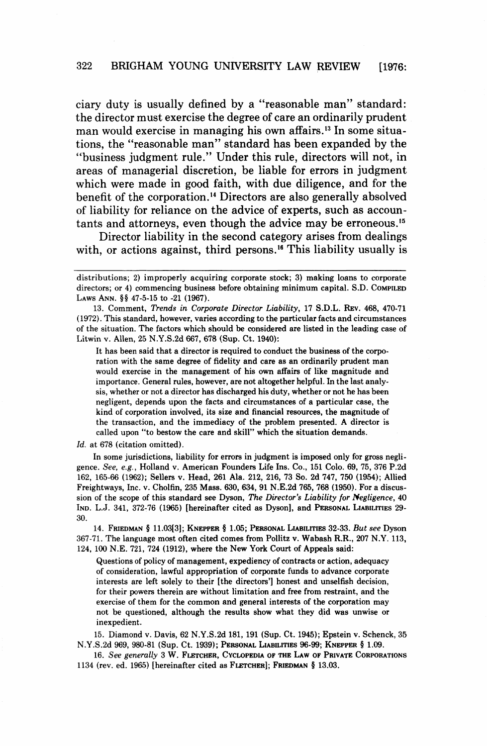ciary duty is usually defined by a "reasonable man" standard: the director must exercise the degree of care an ordinarily prudent man would exercise in managing his own affairs.<sup>13</sup> In some situations, the "reasonable man" standard has been expanded by the "business judgment rule." Under this rule, directors will not, in areas of managerial discretion, be liable for errors in judgment which were made in good faith, with due diligence, and for the benefit of the corporation.14 Directors are also generally absolved of liability for reliance on the advice of experts, such as accountants and attorneys, even though the advice may be erroneous. $15$ 

Director liability in the second category arises from dealings with, or actions against, third persons.<sup>16</sup> This liability usually is -- -- - --

It has been said that a director is required to conduct the business of the corporation with the same degree of fidelity and care as an ordinarily prudent man would exercise in the management of his own affairs of like magnitude and importance. General rules, however, are not altogether helpful. In the last analysis, whether or not a director has discharged his duty, whether or not he has been negligent, depends upon the facts and circumstances of a particular case, the kind of corporation involved, its size and financial resources, the magnitude of the transaction, and the immediacy of the problem presented. A director is called upon "to bestow the care and skill" which the situation demands.

Id. at 678 (citation omitted).

In some jurisdictions, liability for errors in judgment is imposed only for gross negligence. See, e.g., Holland v. American Founders Life Ins. Co., 151 Colo. 69, 75, 376 P.2d 162, 165-66 (1962); Sellers v. Head, 261 Ala. 212, 216, 73 So. 2d 747, 750 (1954); Allied Freightways, Inc. v. Cholfin, 235 Mass. 630, 634, 91 N.E.2d 765,768 (1950). For a discussion of the scope of this standard see Dyson, The Director's Liability for Negligence, 40 IND. L.J. 341, 372-76 (1965) [hereinafter cited as Dyson], and PERSONAL LIABILITIES 29- 30.

14. FRIEDMAN **8** 11.03[3]; KNEPPER **8** 1.05; PERSONAL LIABILITIES 32-33. But see Dyson 367-71. The language most often cited comes from Pollitz v. Wabash R.R., 207 N.Y. 113, 124, 100 N.E. 721, 724 (1912), where the New York Court of Appeals said:

Questions of policy of management, expediency of contracts or action, adequacy of consideration, lawful appropriation of corporate funds to advance corporate interests are left solely to their [the directors'] honest and unselfish decision, for their powers therein are without limitation and free from restraint, and the exercise of them for the common and general interests of the corporation may not be questioned, although the results show what they did was unwise or inexpedient.

15. Diamond v. Davis, 62 N.Y.S.2d 181, 191 (Sup. Ct. 1945); Epstein v. Schenck, 35 N.Y.S.2d 969, 980-81 (Sup. Ct. 1939); PERSONAL LIABILITIES 96-99; KNEPPER **8** 1.09.

16. See generally 3 W. FLETCHER, CYCLOPEDIA OF THE LAW OF PRIVATE CORPORATIONS 1134 (rev. ed. 1965) [hereinafter cited as FLETCHER]; FRIEDMAN **8** 13.03.

distributions; 2) improperly acquiring corporate stock; 3) making loans to corporate directors; or 4) commencing business before obtaining minimum capital. S.D. COMPILED LAWS ANN. §§ 47-5-15 to -21 (1967).

<sup>13.</sup> Comment, Trends in Corporate Director Liability, 17 S.D.L. REV. 468, 470-71 (1972). This standard, however, varies according to the particular facts and circumstances of the situation. The factors which should be considered are listed in the leading case of Litwin v. Allen, 25 N.Y.S.2d 667, 678 (Sup. Ct. 1940):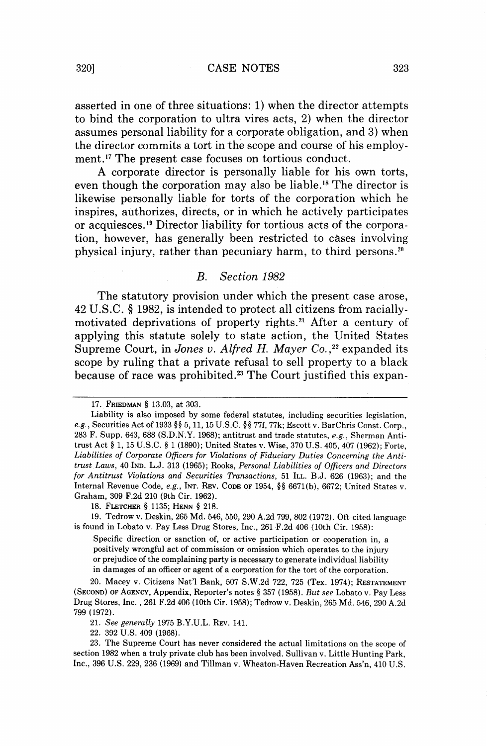asserted in one of three situations: 1) when the director attempts to bind the corporation to ultra vires acts, 2) when the director assumes personal liability for a corporate obligation, and **3)** when the director commits a tort in the scope and course of his employment.17 The present case focuses on tortious conduct.

**A** corporate director is personally liable for his own torts, even though the corporation may also be liable.18 The director is likewise personally liable for torts of the corporation which he inspires, authorizes, directs, or in which he actively participates or acquiesces.<sup>19</sup> Director liability for tortious acts of the corporation, however, has generally been restricted to cases involving physical injury, rather than pecuniary harm, to third persons.2n

### B. Section 1982

The statutory provision under which the present case arose, 42 U.S.C. **8** 1982, is intended to protect all citizens from raciallymotivated deprivations of property rights.<sup>21</sup> After a century of applying this statute solely to state action, the United States Supreme Court, in *Jones v. Alfred H. Mayer Co.*,<sup>22</sup> expanded its scope by ruling that a private refusal to sell property to a black because of race was prohibited.<sup>23</sup> The Court justified this expan-

17. FRIEDMAN § 13.03, at 303.

18. FLETCHER § 1135; HENN *5* 218.

19. Tedrow v. Deskin, 265 Md. 546, 550, 290 A.2d 799, 802 (1972). Oft-cited language is found in Lobato v. Pay Less Drug Stores, Inc., 261 F.2d 406 (10th Cir. 1958):

Specific direction or sanction of, or active participation or cooperation in, a positively wrongful act of commission or omission which operates to the injury or prejudice of the complaining party is necessary to generate individual liability in damages of an officer or agent of a corporation for the tort of the corporation.

20. Macey v. Citizens Nat'l Bank, 507 S.W.2d 722, 725 (Tex. 1974); RESTATEMENT (SECOND) OF AGENCY, Appendix, Reporter's notes § 357 (1958). But see Lobato v. Pay Less Drug Stores, Inc. ,261 F.2d 406 (10th Cir. 1958); Tedrow v. Deskin, 265 Md. 546,290 A.2d 799 (1972).

21. See generally 1975 B.Y.U.L. REV. 141.

22. 392 U.S. 409 (1968).

23. The Supreme Court has never considered the actual limitations on the scope of section 1982 when a truly private club has been involved. Sullivan v. Little Hunting Park, Inc., 396 U.S. 229,236 (1969) and Tillman v. Wheaton-Haven Recreation Ass'n, 410 U.S.

Liability is also imposed by some federal statutes, including securities legislation, e.g., Securities Act of 1933 **\$8** 5,11,15 U.S.C. §§ 77f, 77k; Escott v. BarChris Const. Corp., 283 F. Supp. 643, 688 (S.D.N.Y. 1968); antitrust and trade statutes, e.g., Sherman Antitrust Act § 1, 15 U.S.C. § 1 (1890); United States v. Wise, 370 U.S. 405,407 (1962); Forte, Liabilities of Corporate Officers for Violations of Fiduciary Duties Concerning the Antitrust Laws, 40 IND. L.J. 313 (1965); Rooks, Personal Liabilities of Officers and Directors for Antitrust Violations and Securities Transactions, 51 ILL. B.J. 626 (1963); and the Internal Revenue Code, e.g., INT. REV. CODE OF 1954, *\$5* 6671(b), 6672; United States v. Graham, 309 F.2d 210 (9th Cir. 1962).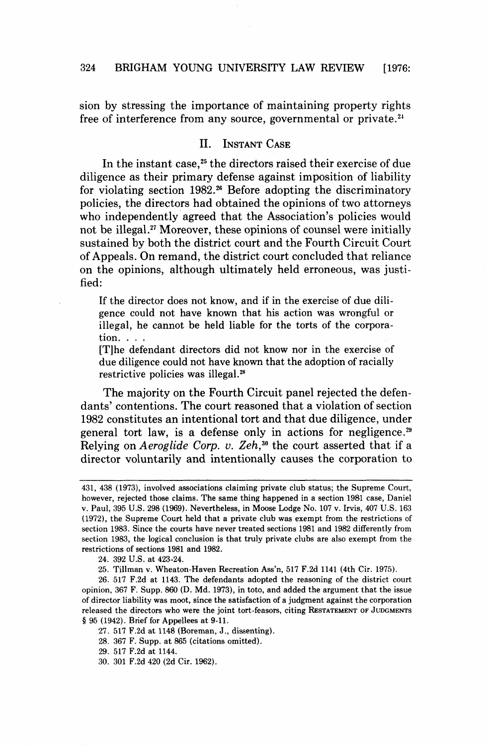sion by stressing the importance of maintaining property rights free of interference from any source, governmental or private.24

#### $\Pi$ . **INSTANT CASE**

In the instant case, $25$  the directors raised their exercise of due diligence as their primary defense against imposition of liability for violating section  $1982.^{26}$  Before adopting the discriminatory policies, the directors had obtained the opinions of two attorneys who independently agreed that the Association's policies would not be illegal.<sup>27</sup> Moreover, these opinions of counsel were initially sustained by both the district court and the Fourth Circuit Court of Appeals. On remand, the district court concluded that reliance on the opinions, although ultimately held erroneous, was justified:

If the director does not know, and if in the exercise of due diligence could not have known that his action was wrongful or illegal, he cannot be held liable for the torts of the corporation. . . .

[Tlhe defendant directors did not know nor in the exercise of due diligence could not have known that the adoption of racially restrictive policies was illegal.<sup>28</sup>

The majority on the Fourth Circuit panel rejected the defendants' contentions. The court reasoned that a violation of section 1982 constitutes an intentional tort and that due diligence, under general tort law, is a defense only in actions for negligence.<sup>29</sup> Relying on *Aeroglide Corp.* **v.** *Zeh,30* the court asserted that if a director voluntarily and intentionally causes the corporation to

24. 392 U.S. at 423-24.

25. Tillman v. Wheaton-Haven Recreation Ass'n, 517 F.2d 1141 (4th Cir. 1975).

26. 517 F.2d at 1143. The defendants adopted the reasoning of the district court opinion, 367 F. Supp. 860 (D. Md. 1973), in toto, and added the argument that the issue of director liability was moot, since the satisfaction of a judgment against the corporation released the directors who were the joint tort-feasors, citing **RESTATEMENT** OF **JUDGMENTS <sup>4</sup>**95 (1942). Brief for Appellees at 9-11.

27. 517 F.2d at 1148 (Boreman, **J.,** dissenting).

28. 367 F. Supp. at 865 (citations omitted).

29. 517 F.2d at 1144.

30. 301 F.2d 420 (2d Cir. 1962).

<sup>431, 438 (1973),</sup> involved associations claiming private club status; the Supreme Court, however, rejected those claims. The same thing happened in a section 1981 case. Daniel v. Paul, 395 U.S. 298 (1969). Nevertheless, in Moose Lodge No. 107 v. Irvis, 407 US. 163 (1972), the Supreme Court held that a private club was exempt from the restrictions of section 1983. Since the courts have never treated sections 1981 and 1982 differently from section 1983, the logical conclusion is that truly private clubs are also exempt from the restrictions of sections 1981 and 1982.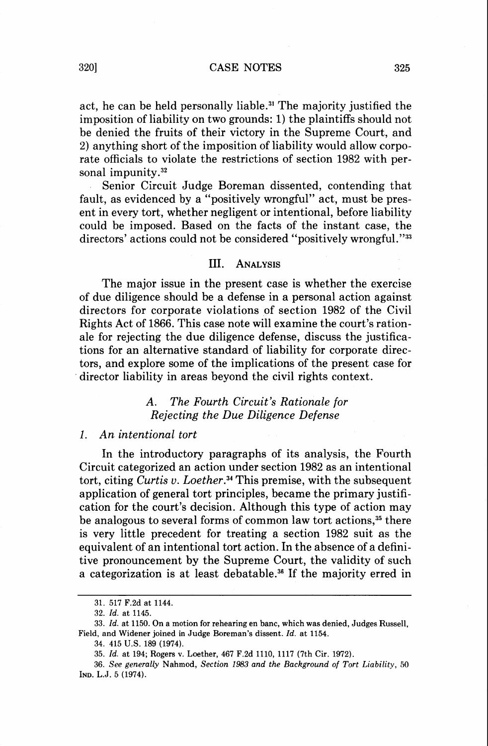act, he can be held personally liable.<sup>31</sup> The majority justified the imposition of liability on two grounds: 1) the plaintiffs should not be denied the fruits of their victory in the Supreme Court, and 2) anything short of the imposition of liability would allow corporate officials to violate the restrictions of section 1982 with personal impunity. $32$ 

Senior Circuit Judge Boreman dissented, contending that fault, as evidenced by a "positively wrongful" act, must be present in every tort, whether negligent or intentional, before liability could be imposed. Based on the facts of the instant case, the directors' actions could not be considered "positively wrongful."<sup>33</sup>

#### III. **ANALYSIS**

The major issue in the present case is whether the exercise of due diligence should be a defense in a personal action against directors for corporate violations of section 1982 of the Civil Rights Act of 1866. This case note will examine the court's rationale for rejecting the due diligence defense, discuss the justifications for an alternative standard of liability for corporate directors, and explore some of the implications of the present case for director liability in areas beyond the civil rights context.

> **A. The Fourth Circuit's Rationale for Rejecting the Due Diligence Defense**

# 1. **An intentional tort**

In the introductory paragraphs of its analysis, the Fourth Circuit categorized an action under section 1982 as an intentional tort, citing *Curtis v. Loether.*<sup>34</sup> This premise, with the subsequent application of general tort principles, became the primary justification for the court's decision. Although this type of action may be analogous to several forms of common law tort actions,<sup>35</sup> there is very little precedent for treating a section 1982 suit as the equivalent of an intentional tort action. In the absence of a definitive pronouncement by the Supreme Court, the validity of such a categorization is at least debatable.<sup>36</sup> If the majority erred in

**<sup>31. 517</sup> F.2d at 1144.** 

**<sup>32.</sup> Id. at 1145.** 

**<sup>33.</sup> Id. at 1150. On a motion for rehearing en banc, which was denied, Judges Russell, Field, and Widener joined in Judge Boreman's dissent. Id. at 1154.** 

**<sup>34. 415</sup> US. 189 (1974).** 

**<sup>35.</sup> Id. at 194; Rogers v. Loether, 467 F.2d 1110, 1117 (7th Cir. 1972).** 

**<sup>36.</sup> See generally Nahmod, Section 1983 and the Background of Tort Liability, 50 IND. L.J. 5 (1974).**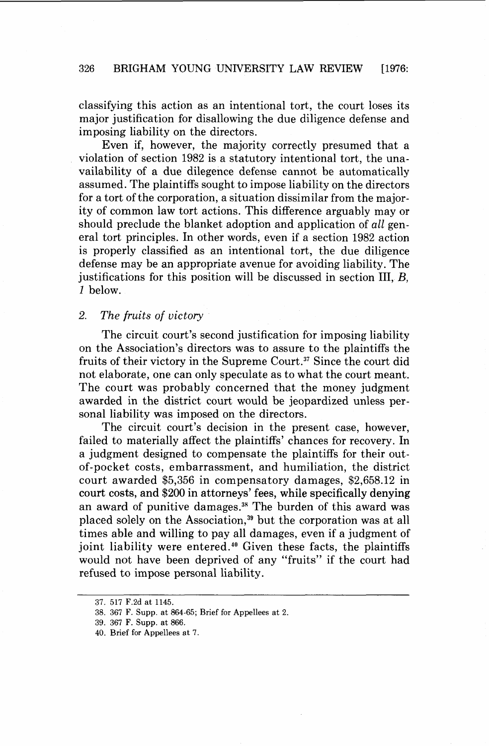classifying this action as an intentional tort, the court loses its major justification for disallowing the due diligence defense and imposing liability on the directors.

Even if, however, the majority correctly presumed that a violation of section 1982 is a statutory intentional tort, the unavailability of a due dilegence defense cannot be automatically assumed. The plaintiffs sought to impose liability on the directors for a tort of the corporation, a situation dissimilar from the majority of common law tort actions. This difference arguably may or should preclude the blanket adoption and application of all general tort principles. In other words, even if a section 1982 action is properly classified as an intentional tort, the due diligence defense may be an appropriate avenue for avoiding liability. The justifications for this position will be discussed in section III,  $B$ , *1* below.

# **2. The fruits of victory**

The circuit court's second justification for imposing liability on the Association's directors was to assure to the plaintiffs the fruits of their victory in the Supreme Court.<sup>37</sup> Since the court did not elaborate, one can only speculate as to what the court meant. The court was probably concerned that the money judgment awarded in the district court would be jeopardized unless personal liability was imposed on the directors.

The circuit court's decision in the present case, however, failed to materially affect the plaintiffs' chances for recovery. In a judgment designed to compensate the plaintiffs for their outof-pocket costs, embarrassment, and humiliation, the district court awarded \$5,356 in compensatory damages, \$2,658.12 in court costs, and \$200 in attorneys' fees, while specifically denying an award of punitive damages.<sup>38</sup> The burden of this award was placed solely on the Association,<sup>39</sup> but the corporation was at all times able and willing to pay all damages, even if a judgment of joint liability were entered.<sup>40</sup> Given these facts, the plaintiffs would not have been deprived of any "fruits" if the court had refused to impose personal liability.

**<sup>37. 517</sup>** F.2d **at 1145.** 

**<sup>38. 367</sup> F. Supp. at 864-65; Brief for Appellees at 2.** 

**<sup>39. 367</sup> F. Supp. at 866.** 

**<sup>40.</sup> Brief for Appellees at 7.**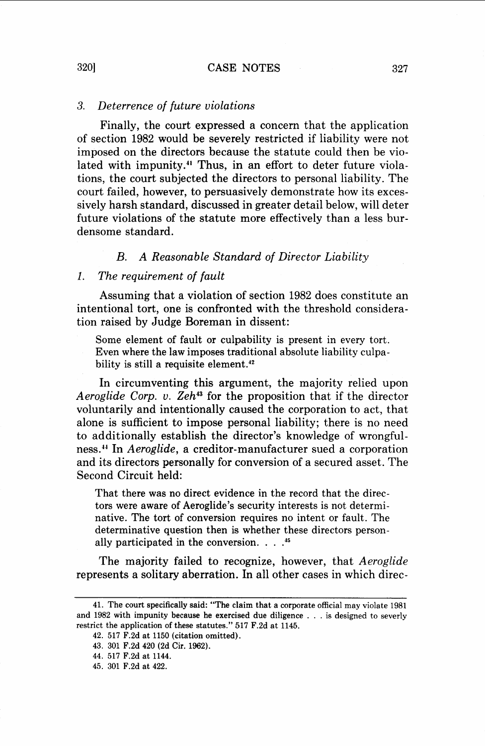# *3. Deterrence of future violations*

Finally, the court expressed a concern that the application of section 1982 would be severely restricted if liability were not imposed on the directors because the statute could then be violated with impunity.<sup>41</sup> Thus, in an effort to deter future violations, the court subjected the directors to personal liability. The court failed, however, to persuasively demonstrate how its excessively harsh standard, discussed in greater detail below, will deter future violations of the statute more effectively than a less burdensome standard.

# *B. A Reasonable Standard of Director Liability*

#### *1. The requirement of fault*

Assuming that a violation of section 1982 does constitute an intentional tort, one is confronted with the threshold consideration raised by Judge Boreman in dissent:

Some element of fault or culpability is present in every tort. Even where the law imposes traditional absolute liability culpability is still a requisite element.<sup>42</sup>

In circumventing this argument, the majority relied upon *Aeroglide Corp. v. Zeh"* for the proposition that if the director voluntarily and intentionally caused the corporation to act, that alone is sufficient to impose personal liability; there is no need to additionally establish the director's knowledge of wrongfulness? In *Aeroglide,* a creditor-manufacturer sued a corporation and its directors personally for conversion of a secured asset. The Second Circuit held:

That there was no direct evidence in the record that the directors were aware of Aeroglide's security interests is not determinative. The tort of conversion requires no intent or fault. The determinative question then is whether these directors personally participated in the conversion. . . . **<sup>45</sup>**

The majority failed to recognize, however, that *Aeroglide*  represents a solitary aberration. In all other cases in which direc-

<sup>41.</sup> The court specifically said: "The claim that a corporate official may violate 1981 and 1982 with impunity because he exercised due diligence . . . is designed to severly restrict the application of these statutes." 517 F.2d at 1145.

<sup>42. 517</sup> F.2d at 1150 (citation omitted).

<sup>43. 301</sup> F.2d 420 (2d Cir. 1962).

<sup>44. 517</sup> F.2d at 1144.

<sup>45. 301</sup> F.2d at 422.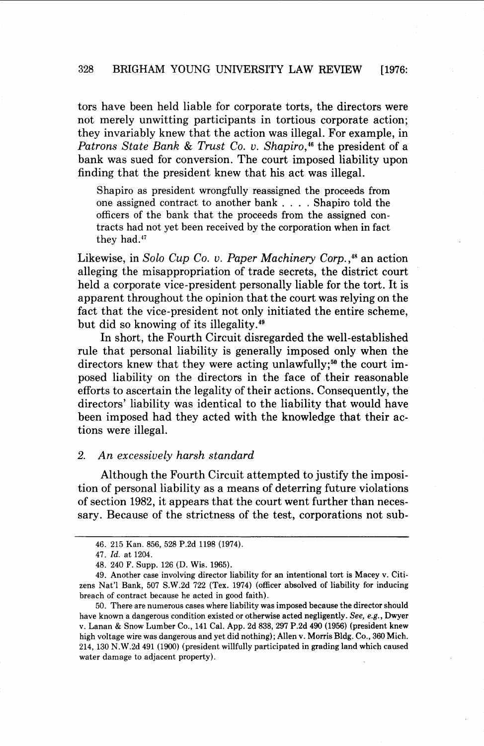tors have been held liable for corporate torts, the directors were not merely unwitting participants in tortious corporate action; they invariably knew that the action was illegal. For example, in Patrons State Bank & Trust Co. v. Shapiro,<sup>46</sup> the president of a bank was sued for conversion. The court imposed liability upon finding that the president knew that his act was illegal.

Shapiro as president wrongfully reassigned the proceeds from one assigned contract to another bank . . . . Shapiro told the officers of the bank that the proceeds from the assigned contracts had not yet been received by the corporation when in fact they had.47

Likewise, in Solo Cup Co. v. Paper Machinery Corp., $48$  an action alleging the misappropriation of trade secrets, the district court held a corporate vice-president personally liable for the tort. It is apparent throughout the opinion that the court was relying on the fact that the vice-president not only initiated the entire scheme, but did so knowing of its illegality. $49$ 

In short, the Fourth Circuit disregarded the well-established rule that personal liability is generally imposed only when the directors knew that they were acting unlawfully;<sup>50</sup> the court imposed liability on the directors in the face of their reasonable efforts to ascertain the legality of their actions. Consequently, the directors' liability was identical to the liability that would have been imposed had they acted with the knowledge that their actions were illegal.

# 2. An excessively harsh standard

Although the Fourth Circuit attempted to justify the imposition of personal liability as a means of deterring future violations of section 1982, it appears that the court went further than necessary. Because of the strictness of the test, corporations not sub-

<sup>46. 215</sup> Kan. 856, 528 P.2d 1198 (1974).

<sup>47.</sup> Id. at 1204.

<sup>48. 240</sup> F. Supp. 126 (D. Wis. 1965).

<sup>49.</sup> Another case involving director liability for an intentional tort is Macey v. Citizens Nat'l Bank, 507 S.W.2d 722 (Tex. 1974) (officer absolved of liability for inducing breach of contract because he acted in good faith).

<sup>50.</sup> There are numerous cases where liability was imposed because the director should have known a dangerous condition existed or otherwise acted negligently. See, e.g., Dwyer v. Lanan & Snow Lumber Co., 141 Cal. App. 2d 838, 297 P.2d 490 (1956) (president knew high voltage wire was dangerous and yet did nothing); Allen v. Morris Bldg. Co., 360 Mich. 214, 130 N.W.2d 491 (1900) (president willfully participated in grading land which caused water damage to adjacent property).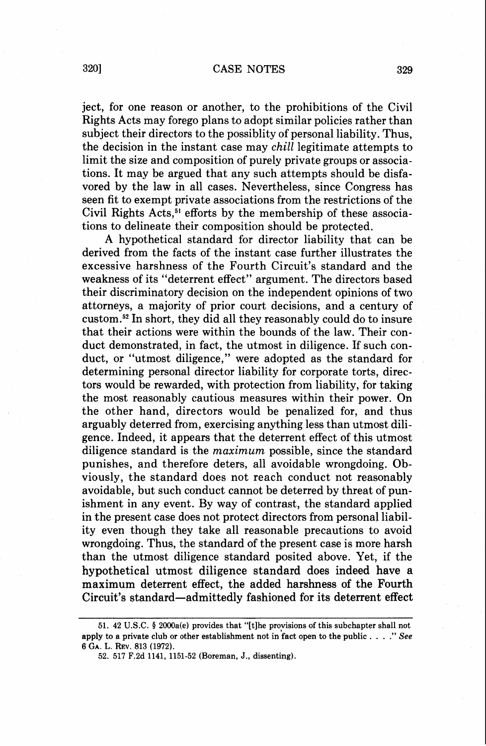ject, for one reason or another, to the prohibitions of the Civil Rights Acts may forego plans to adopt similar policies rather than subject their directors to the possiblity of personal liability. Thus, the decision in the instant case may **chill** legitimate attempts to limit the size and composition of purely private groups or associations. It may be argued that any such attempts should be disfavored by the law in all cases. Nevertheless, since Congress has seen fit to exempt private associations from the restrictions of the Civil Rights Acts,<sup>51</sup> efforts by the membership of these associations to delineate their composition should be protected.

A hypothetical standard for director liability that can be derived from the facts of the instant case further illustrates the excessive harshness of the Fourth Circuit's standard and the weakness of its "deterrent effect" argument. The directors based their discriminatory decision on the independent opinions of two attorneys, a majority of prior court decisions, and a century of custom.52 In short, they did all they reasonably could do to insure that their actions were within the bounds of the law. Their conduct demonstrated, in fact, the utmost in diligence. If such conduct, or "utmost diligence," were adopted as the standard for determining personal director liability for corporate torts, directors would be rewarded, with protection from liability, for taking the most reasonably cautious measures within their power. On the other hand, directors would be penalized for, and thus arguably deterred from, exercising anything less than utmost diligence. Indeed, it appears that the deterrent effect of this utmost diligence standard is the maximum possible, since the standard punishes, and therefore deters, all avoidable wrongdoing. Obviously, the standard does not reach conduct not reasonably avoidable, but such conduct cannot be deterred by threat of punishment in any event. By way of contrast, the standard applied in the present case does not protect directors from personal liability even though they take all reasonable precautions to avoid wrongdoing. Thus, the standard of the present case is more harsh than the utmost diligence standard posited above. Yet, if the hypothetical utmost diligence standard does indeed have a maximum deterrent effect, the added harshness of the Fourth Circuit's standard-admittedly fashioned for its deterrent effect

**<sup>51. 42</sup> U.S.C.** § **2000a(e) provides that "[tlhe proyisions of this subchapter shall not apply to a private club or other establishment not in fact open to the public** . . . ." *See*  **6 GA. L. REV. 813 (1972).** 

**<sup>52. 517</sup> F.2d 1141, 1151-52 (Boreman, J., dissenting).**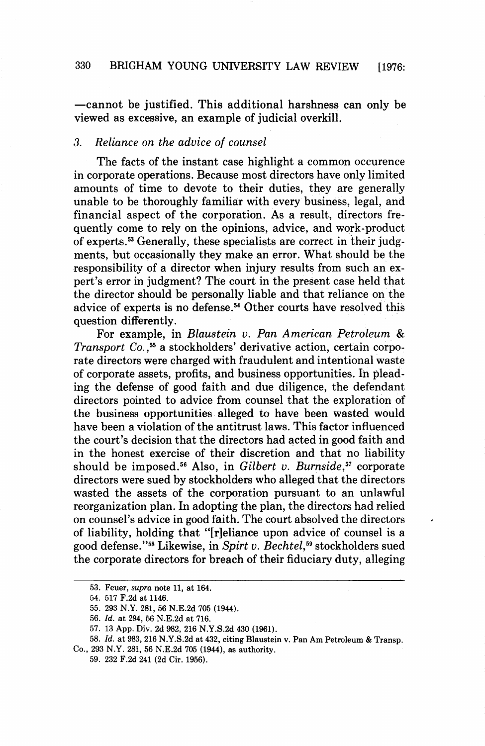-cannot be justified. This additional harshness can only be viewed as excessive, an example of judicial overkill.

# **3.** Reliance on the advice of counsel

The facts of the instant case highlight a common occurence in corporate operations. Because most directors have only limited amounts of time to devote to their duties, they are generally unable to be thoroughly familiar with every business, legal, and financial aspect of the corporation. As a result, directors frequently come to rely on the opinions, advice, and work-product of experts.53 Generally, these specialists are correct in their judgments, but occasionally they make an error. What should be the responsibility of a director when injury results from such an expert's error in judgment? The court in the present case held that the director should be personally liable and that reliance on the advice of experts is no defense.<sup>54</sup> Other courts have resolved this question differently.

For example, in Blaustein v. Pan American Petroleum & Transport Co.,<sup>55</sup> a stockholders' derivative action, certain corporate directors were charged with fraudulent and intentional waste of corporate assets, profits, and business opportunities. In pleading the defense of good faith and due diligence, the defendant directors pointed to advice from counsel that the exploration of the business opportunities alleged to have been wasted would have been a violation of the antitrust laws. This factor influenced the court's decision that the directors had acted in good faith and in the honest exercise of their discretion and that no liability should be imposed.<sup>56</sup> Also, in Gilbert v. Burnside,<sup>57</sup> corporate directors were sued by stockholders who alleged that the directors wasted the assets of the corporation pursuant to an unlawful reorganization plan. In adopting the plan, the directors had relied on counsel's advice in good faith. The court absolved the directors of liability, holding that "[r]eliance upon advice of counsel is a good defense."<sup>58</sup> Likewise, in Spirt v. Bechtel,<sup>59</sup> stockholders sued the corporate directors for breach of their fiduciary duty, alleging

**<sup>53.</sup> Feuer, supra note 11, at 164.** 

**<sup>54. 517</sup> F.2d at 1146.** 

**<sup>55. 293</sup> N.Y. 281, 56 N.E.2d 705 (1944).** 

**<sup>56.</sup>** *Id.* **at 294,** *56* **N.E.2d at 716.** 

**<sup>57. 13</sup> App. Div. 2d 982, 216 N.Y.S.2d 430 (1961).** 

**<sup>58.</sup>** *Id.* **at 983, 216 N.Y.S.2d at 432, citing Blaustein v. Pan Am Petroleum** & **Transp. Co., 293 N.Y. 281, 56 N.E.2d 705 (1944), as authority.** 

**<sup>59. 232</sup> F.2d 241 (2d Cir. 1956).**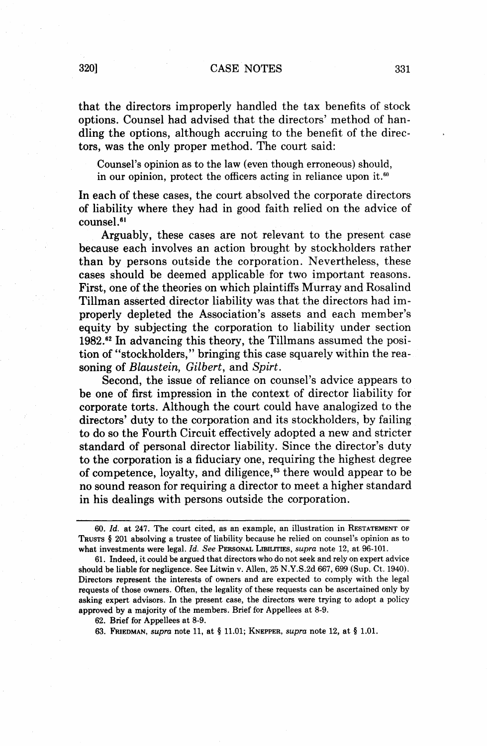that the directors improperly handled the tax benefits of stock options. Counsel had advised that the directors' method of handling the options, although accruing to the benefit of the directors, was the only proper method. The court said:

Counsel's opinion as to the law (even though erroneous) should, in our opinion, protect the officers acting in reliance upon it.<sup>60</sup>

In each of these cases, the court absolved the corporate directors of liability where they had in good faith relied on the advice of counsel

Arguably, these cases are not relevant to the present case because each involves an action brought by stockholders rather than by persons outside the corporation. Nevertheless, these cases should be deemed applicable for two important reasons. First, one of the theories on which plaintiffs Murray and Rosalind Tillman asserted director liability was that the directors had improperly depleted the Association's assets and each member's equity by subjecting the corporation to liability under section 1982." In advancing this theory, the Tillmans assumed the position of "stockholders," bringing this case squarely within the reasoning of Blaustein, Gilbert, and Spirt.

Second, the issue of reliance on counsel's advice appears to be one of first impression in the context of director liability for corporate torts. Although the court could have analogized to the directors' duty to the corporation and its stockholders, by failing to do so the Fourth Circuit effectively adopted a new and stricter standard of personal director liability. Since the director's duty to the corporation is a fiduciary one, requiring the highest degree of competence, loyalty, and diligence, $63$  there would appear to be no sound reason for requiring a director to meet a higher standard in his dealings with persons outside the corporation.

62. Brief for Appellees at 8-9.

<sup>60.</sup> *Id.* at 247. The court cited, as an example, an illustration in RESTATEMENT OF TRUSTS *5* 201 absolving a trustee of liability because he relied on counsel's opinion as to what investments were legal. *Id. See* PERSONAL LIBILITIES, *supra* note 12, at 96-101.

<sup>61.</sup> Indeed, it could be argued that directors who do not seek and rely on expert advice should be liable for negligence. See Litwin v. Allen, 25 N.Y.S.2d 667,699 (Sup. Ct. 1940). Directors represent the interests of owners and are expected to comply with the legal requests of those owners. Often, the legality of these requests can be ascertained only by asking expert advisors. In the present case, the directors were trying to adopt a policy approved by a majority of the members. Brief for Appellees at 8-9.

<sup>63.</sup> FRIEDMAN, *supra* note 11, at *5* 11.01; KNEPPER, *supra* note 12, at \$ 1.01.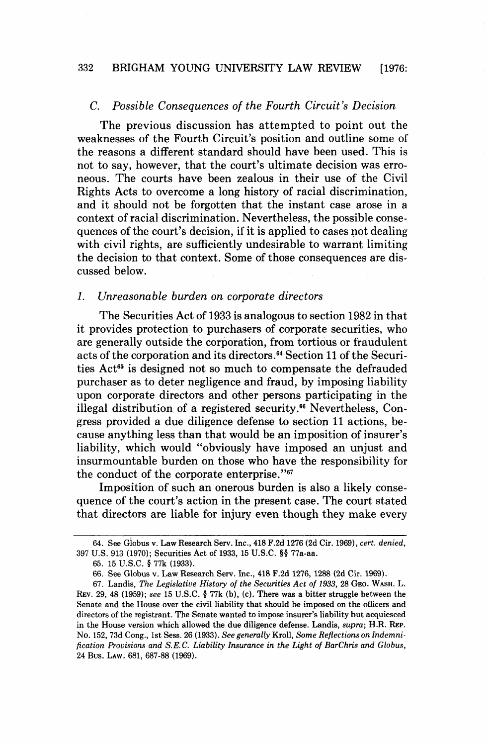#### 332 BRIGHAM YOUNG UNIVERSITY LAW REVIEW **[1976:**

#### C. Possible Consequences of the Fourth Circuit's Decision

The previous discussion has attempted to point out the weaknesses of the Fourth Circuit's position and outline some of the reasons a different standard should have been used. This is not to say, however, that the court's ultimate decision was erroneous. The courts have been zealous in their use of the Civil Rights Acts to overcome a long history of racial discrimination, and it should not be forgotten that the instant case arose in a context of racial discrimination. Nevertheless, the possible consequences of the court's decision, if it is applied to cases not dealing with civil rights, are sufficiently undesirable to warrant limiting the decision to that context. Some of those consequences are discussed below.

#### 1. Unreasonable burden on corporate directors

The Securities Act of 1933 is analogous to section 1982 in that it provides protection to purchasers of corporate securities, who are generally outside the corporation, from tortious or fraudulent acts of the corporation and its directors.<sup>64</sup> Section 11 of the Securities Act<sup>65</sup> is designed not so much to compensate the defrauded purchaser as to deter negligence and fraud, by imposing liability upon corporate directors and other persons participating in the illegal distribution of a registered security.<sup>66</sup> Nevertheless, Congress provided a due diligence defense to section 11 actions, because anything less than that would be an imposition of insurer's liability, which would "obviously have imposed an unjust and insurmountable burden on those who have the responsibility for the conduct of the corporate enterprise."<sup>67</sup>

Imposition of such an onerous burden is also a likely consequence of the court's action in the present case. The court stated that directors are liable for injury even though they make every

<sup>64.</sup> See Globus v. Law Research Serv. Inc., 418 F.2d 1276 (2d Cir. 1969), *cert. denied*, 397 U.S. 913 (1970); Securities Act of 1933, 15 U.S.C. **\$4** 77a-aa.

<sup>65. 15</sup> U.S.C. § 77k (1933).

<sup>66.</sup> See Globus v. Law Research Sew. Inc., 418 F.2d 1276, 1288 (2d Cir. 1969).

<sup>67.</sup> Landis, *The Legislative History of the Securities Act of 1933,* 28 **GEO.** WASH. L. **REV.** 29, 48 (1959); *see* 15 U.S.C. § 77k (b), (c). There was a bitter struggle between the Senate and the House over the civil liability that should be imposed on the officers and directors of the registrant. The Senate wanted to impose insurer's liability but acquiesced in the House version which allowed the due diligence defense. Landis, *supra;* **H.R. REP. No.** 152,73d Cong., 1st Sess. 26 (1933). *See generally* Kroll, *Some Reflections on Indemnification Provisions and S.E. C. Liability Insurance in the Light of BarChris and Globus,*  24 Bus. LAW. 681, 687-88 (1969).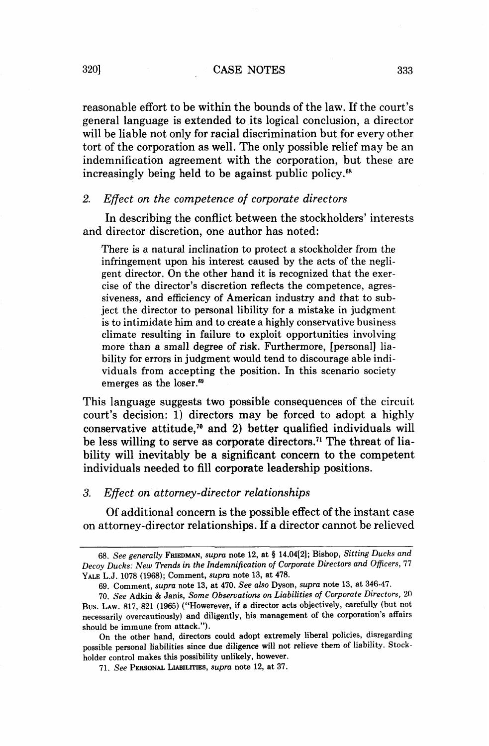reasonable effort to be within the bounds of the law. If the court's general language is extended to its logical conclusion, a director will be liable not only for racial discrimination but for every other tort of the corporation as well. The only possible relief may be an indemnification agreement with the corporation, but these are increasingly being held to be against public policy.<sup>68</sup>

# 2. *Effect on the competence of corporate directors*

In describing the conflict between the stockholders' interests and director discretion, one author has noted:

There is a natural inclination to protect a stockholder from the infringement upon his interest caused by the acts of the negligent director. On the other hand it is recognized that the exercise of the director's discretion reflects the competence, agressiveness, and efficiency of American industry and that to subject the director to personal libility for a mistake in judgment is to intimidate him and to create a highly conservative business climate resulting in failure to exploit opportunities involving more than a small degree of risk. Furthermore, [personal] liability for errors in judgment would tend to discourage able individuals from accepting the position. In this scenario society emerges as the loser.<sup>69</sup>

This language suggests two possible consequences of the circuit court's decision: 1) directors may be forced to adopt a highly conservative attitude,<sup>70</sup> and 2) better qualified individuals will be less willing to serve as corporate directors.'l The threat of liability will inevitably be a significant concern to the competent individuals needed to fill corporate leadership positions.

#### *3. Effect on attorney-director relationships*

Of additional concern is the possible effect of the instant case on attorney-director relationships. If a director cannot be relieved

*<sup>68.</sup> See generally* **FRIEDMAN,** *supra* **note 12, at 4 14.04[2]; Bishop,** *Sitting Ducks* **and**  *Decoy Ducks: New Trends in the Indemnification of Corporate Directors and Oficers,* **77 YALE L.J. 1078 (1968); Comment,** *supra* **note 13, at 478.** 

**<sup>69.</sup> Comment,** *supra* **note 13, at 470.** *See also* **Dyson,** *supra* **note 13, at 346-47.** 

**<sup>70.</sup>** *See* **Adkin** & **Janis,** *Some Observations on Liabilities of Corporate Directors,* **20 Bus. LAW. 817, 821 (1965) ("Howerever, if a director acts objectively, carefully (but not necessarily overcautiously) and diligently, his management of the corporation's affairs should be immune from attack.").** 

**On the other hand, directors could adopt extremely liberal policies, disregarding possible personal liabilities since due diligence will not relieve them of liability. Stockholder control makes this possibility unlikely, however.** 

**<sup>71.</sup>** *See* **PERSONAL LIABILITIES,** *supra* **note 12, at 37.**